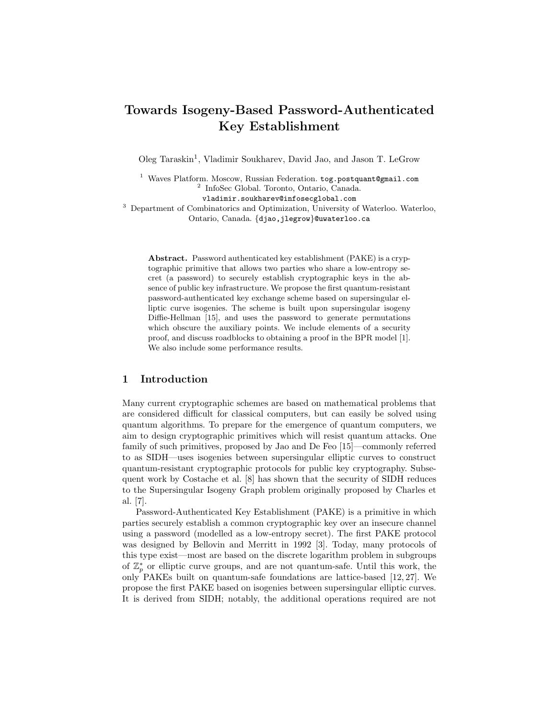# Towards Isogeny-Based Password-Authenticated Key Establishment

Oleg Taraskin<sup>1</sup>, Vladimir Soukharev, David Jao, and Jason T. LeGrow

<sup>1</sup> Waves Platform. Moscow, Russian Federation. tog.postquant@gmail.com 2 InfoSec Global. Toronto, Ontario, Canada. vladimir.soukharev@infosecglobal.com <sup>3</sup> Department of Combinatorics and Optimization, University of Waterloo. Waterloo, Ontario, Canada. {djao,jlegrow}@uwaterloo.ca

Abstract. Password authenticated key establishment (PAKE) is a cryptographic primitive that allows two parties who share a low-entropy secret (a password) to securely establish cryptographic keys in the absence of public key infrastructure. We propose the first quantum-resistant password-authenticated key exchange scheme based on supersingular elliptic curve isogenies. The scheme is built upon supersingular isogeny Diffie-Hellman [15], and uses the password to generate permutations which obscure the auxiliary points. We include elements of a security proof, and discuss roadblocks to obtaining a proof in the BPR model [1]. We also include some performance results.

## 1 Introduction

Many current cryptographic schemes are based on mathematical problems that are considered difficult for classical computers, but can easily be solved using quantum algorithms. To prepare for the emergence of quantum computers, we aim to design cryptographic primitives which will resist quantum attacks. One family of such primitives, proposed by Jao and De Feo [15]—commonly referred to as SIDH—uses isogenies between supersingular elliptic curves to construct quantum-resistant cryptographic protocols for public key cryptography. Subsequent work by Costache et al. [8] has shown that the security of SIDH reduces to the Supersingular Isogeny Graph problem originally proposed by Charles et al. [7].

Password-Authenticated Key Establishment (PAKE) is a primitive in which parties securely establish a common cryptographic key over an insecure channel using a password (modelled as a low-entropy secret). The first PAKE protocol was designed by Bellovin and Merritt in 1992 [3]. Today, many protocols of this type exist—most are based on the discrete logarithm problem in subgroups of  $\mathbb{Z}_p^*$  or elliptic curve groups, and are not quantum-safe. Until this work, the only PAKEs built on quantum-safe foundations are lattice-based [12, 27]. We propose the first PAKE based on isogenies between supersingular elliptic curves. It is derived from SIDH; notably, the additional operations required are not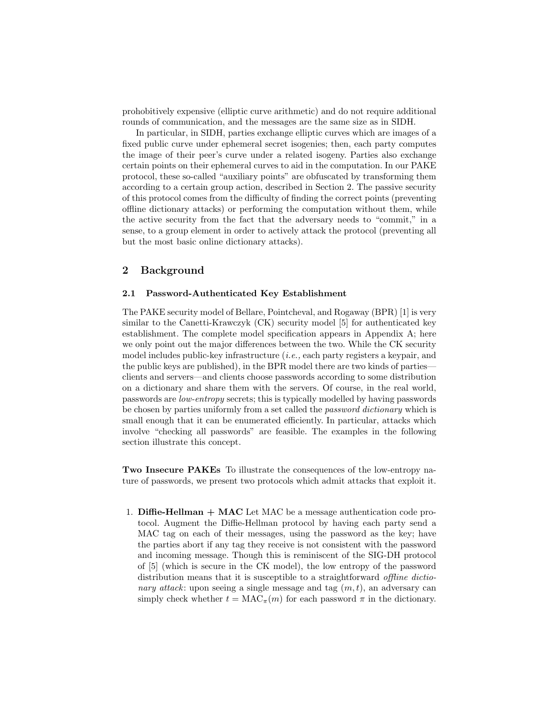prohobitively expensive (elliptic curve arithmetic) and do not require additional rounds of communication, and the messages are the same size as in SIDH.

In particular, in SIDH, parties exchange elliptic curves which are images of a fixed public curve under ephemeral secret isogenies; then, each party computes the image of their peer's curve under a related isogeny. Parties also exchange certain points on their ephemeral curves to aid in the computation. In our PAKE protocol, these so-called "auxiliary points" are obfuscated by transforming them according to a certain group action, described in Section 2. The passive security of this protocol comes from the difficulty of finding the correct points (preventing offline dictionary attacks) or performing the computation without them, while the active security from the fact that the adversary needs to "commit," in a sense, to a group element in order to actively attack the protocol (preventing all but the most basic online dictionary attacks).

## 2 Background

### 2.1 Password-Authenticated Key Establishment

The PAKE security model of Bellare, Pointcheval, and Rogaway (BPR) [1] is very similar to the Canetti-Krawczyk (CK) security model [5] for authenticated key establishment. The complete model specification appears in Appendix A; here we only point out the major differences between the two. While the CK security model includes public-key infrastructure (i.e., each party registers a keypair, and the public keys are published), in the BPR model there are two kinds of parties clients and servers—and clients choose passwords according to some distribution on a dictionary and share them with the servers. Of course, in the real world, passwords are low-entropy secrets; this is typically modelled by having passwords be chosen by parties uniformly from a set called the password dictionary which is small enough that it can be enumerated efficiently. In particular, attacks which involve "checking all passwords" are feasible. The examples in the following section illustrate this concept.

Two Insecure PAKEs To illustrate the consequences of the low-entropy nature of passwords, we present two protocols which admit attacks that exploit it.

1. **Diffie-Hellman**  $+$  **MAC** Let MAC be a message authentication code protocol. Augment the Diffie-Hellman protocol by having each party send a MAC tag on each of their messages, using the password as the key; have the parties abort if any tag they receive is not consistent with the password and incoming message. Though this is reminiscent of the SIG-DH protocol of [5] (which is secure in the CK model), the low entropy of the password distribution means that it is susceptible to a straightforward offline dictionary attack: upon seeing a single message and tag  $(m, t)$ , an adversary can simply check whether  $t = MAC_{\pi}(m)$  for each password  $\pi$  in the dictionary.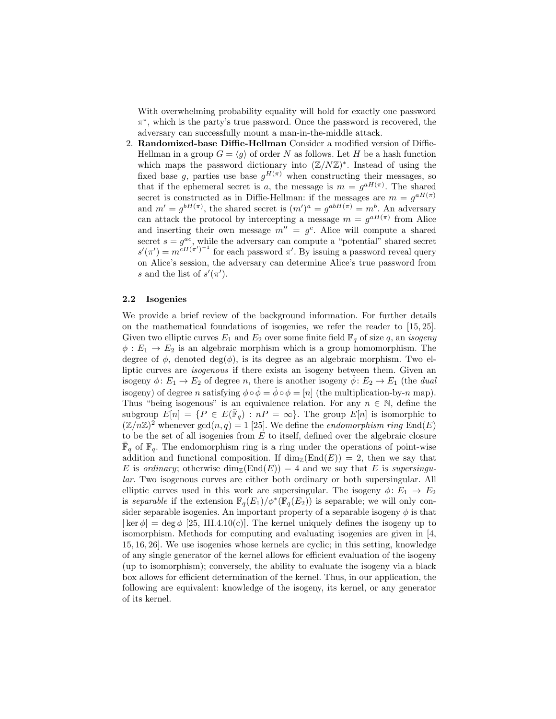With overwhelming probability equality will hold for exactly one password π ∗ , which is the party's true password. Once the password is recovered, the adversary can successfully mount a man-in-the-middle attack.

2. Randomized-base Diffie-Hellman Consider a modified version of Diffie-Hellman in a group  $G = \langle g \rangle$  of order N as follows. Let H be a hash function which maps the password dictionary into  $(\mathbb{Z}/N\mathbb{Z})^*$ . Instead of using the fixed base g, parties use base  $g^{H(\pi)}$  when constructing their messages, so that if the ephemeral secret is a, the message is  $m = g^{aH(\pi)}$ . The shared secret is constructed as in Diffie-Hellman: if the messages are  $m = g^{aH(\pi)}$ and  $m' = g^{bH(\pi)}$ , the shared secret is  $(m')^a = g^{abH(\pi)} = m^b$ . An adversary can attack the protocol by intercepting a message  $m = g^{aH(\pi)}$  from Alice and inserting their own message  $m'' = g^c$ . Alice will compute a shared secret  $s = g^{ac}$ , while the adversary can compute a "potential" shared secret  $s'(\pi') = m^{cH(\pi')^{-1}}$  for each password  $\pi'$ . By issuing a password reveal query on Alice's session, the adversary can determine Alice's true password from s and the list of  $s'(\pi')$ .

### 2.2 Isogenies

We provide a brief review of the background information. For further details on the mathematical foundations of isogenies, we refer the reader to [15, 25]. Given two elliptic curves  $E_1$  and  $E_2$  over some finite field  $\mathbb{F}_q$  of size q, an *isogeny*  $\phi: E_1 \to E_2$  is an algebraic morphism which is a group homomorphism. The degree of  $\phi$ , denoted deg( $\phi$ ), is its degree as an algebraic morphism. Two elliptic curves are isogenous if there exists an isogeny between them. Given an isogeny  $\phi: E_1 \to E_2$  of degree n, there is another isogeny  $\phi: E_2 \to E_1$  (the dual isogeny) of degree n satisfying  $\phi \circ \hat{\phi} = \hat{\phi} \circ \phi = [n]$  (the multiplication-by-n map). Thus "being isogenous" is an equivalence relation. For any  $n \in \mathbb{N}$ , define the subgroup  $E[n] = \{P \in E(\bar{\mathbb{F}}_q) : nP = \infty\}$ . The group  $E[n]$  is isomorphic to  $(\mathbb{Z}/n\mathbb{Z})^2$  whenever  $gcd(n, q) = 1$  [25]. We define the *endomorphism ring* End(E) to be the set of all isogenies from  $E$  to itself, defined over the algebraic closure  $\overline{\mathbb{F}}_q$  of  $\mathbb{F}_q$ . The endomorphism ring is a ring under the operations of point-wise addition and functional composition. If  $\dim_{\mathbb{Z}}(\text{End}(E)) = 2$ , then we say that E is ordinary; otherwise  $\dim_{\mathbb{Z}}(\text{End}(E)) = 4$  and we say that E is supersingular. Two isogenous curves are either both ordinary or both supersingular. All elliptic curves used in this work are supersingular. The isogeny  $\phi: E_1 \to E_2$ is separable if the extension  $\mathbb{F}_q(E_1)/\phi^*(\mathbb{F}_q(E_2))$  is separable; we will only consider separable isogenies. An important property of a separable isogeny  $\phi$  is that  $|\ker \phi| = \deg \phi$  [25, III.4.10(c)]. The kernel uniquely defines the isogeny up to isomorphism. Methods for computing and evaluating isogenies are given in [4, 15, 16, 26]. We use isogenies whose kernels are cyclic; in this setting, knowledge of any single generator of the kernel allows for efficient evaluation of the isogeny (up to isomorphism); conversely, the ability to evaluate the isogeny via a black box allows for efficient determination of the kernel. Thus, in our application, the following are equivalent: knowledge of the isogeny, its kernel, or any generator of its kernel.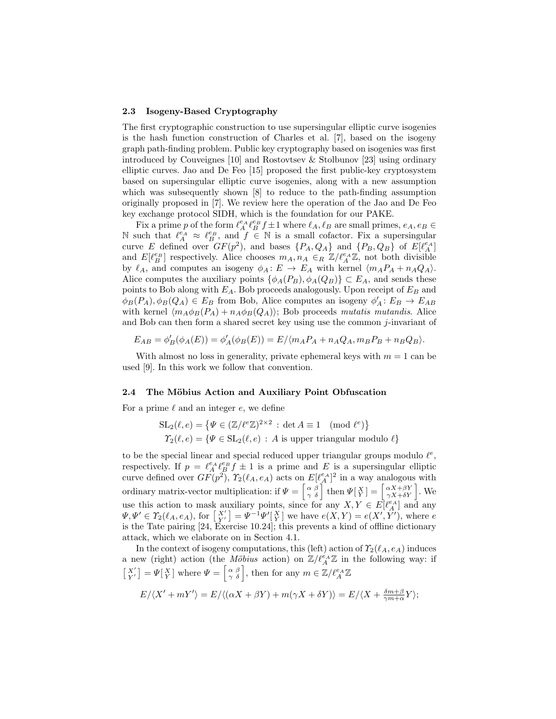### 2.3 Isogeny-Based Cryptography

The first cryptographic construction to use supersingular elliptic curve isogenies is the hash function construction of Charles et al. [7], based on the isogeny graph path-finding problem. Public key cryptography based on isogenies was first introduced by Couveignes [10] and Rostovtsev & Stolbunov [23] using ordinary elliptic curves. Jao and De Feo [15] proposed the first public-key cryptosystem based on supersingular elliptic curve isogenies, along with a new assumption which was subsequently shown [8] to reduce to the path-finding assumption originally proposed in [7]. We review here the operation of the Jao and De Feo key exchange protocol SIDH, which is the foundation for our PAKE.

Fix a prime p of the form  $\ell_A^e A \ell_B^e f \pm 1$  where  $\ell_A, \ell_B$  are small primes,  $e_A, e_B \in$ N such that  $\ell_A^{e_A} \approx \ell_B^{e_B}$ , and  $f \in \mathbb{N}$  is a small cofactor. Fix a supersingular curve E defined over  $GF(p^2)$ , and bases  $\{P_A, Q_A\}$  and  $\{P_B, Q_B\}$  of  $E[\ell_A^{e_A}]$ and  $E[\ell_B^{e_B}]$  respectively. Alice chooses  $m_A, n_A \in_R \mathbb{Z}/\ell_A^{e_A} \mathbb{Z}$ , not both divisible by  $\ell_A$ , and computes an isogeny  $\phi_A : E \to E_A$  with kernel  $\langle m_A P_A + n_A Q_A \rangle$ . Alice computes the auxiliary points  $\{\phi_A(P_B), \phi_A(Q_B)\}\subset E_A$ , and sends these points to Bob along with  $E_A$ . Bob proceeds analogously. Upon receipt of  $E_B$  and  $\phi_B(P_A), \phi_B(Q_A) \in E_B$  from Bob, Alice computes an isogeny  $\phi'_A : E_B \to E_{AB}$ with kernel  $\langle m_A \phi_B(P_A) + n_A \phi_B(Q_A) \rangle$ ; Bob proceeds mutatis mutandis. Alice and Bob can then form a shared secret key using use the common j-invariant of

$$
E_{AB} = \phi'_B(\phi_A(E)) = \phi'_A(\phi_B(E)) = E / \langle m_A P_A + n_A Q_A, m_B P_B + n_B Q_B \rangle.
$$

With almost no loss in generality, private ephemeral keys with  $m = 1$  can be used [9]. In this work we follow that convention.

### 2.4 The Möbius Action and Auxiliary Point Obfuscation

For a prime  $\ell$  and an integer  $e$ , we define

$$
\mathrm{SL}_2(\ell, e) = \{ \Psi \in (\mathbb{Z}/\ell^e \mathbb{Z})^{2 \times 2} : \det A \equiv 1 \pmod{\ell^e} \}
$$
  

$$
\Upsilon_2(\ell, e) = \{ \Psi \in \mathrm{SL}_2(\ell, e) : A \text{ is upper triangular modulo } \ell \}
$$

to be the special linear and special reduced upper triangular groups modulo  $\ell^e$ , respectively. If  $p = \ell_A^{\epsilon_A} \ell_B^{\epsilon_B} f \pm 1$  is a prime and E is a supersingular elliptic curve defined over  $GF(p^2)$ ,  $\Upsilon_2(\ell_A, e_A)$  acts on  $E[\ell_A^{e_A}]^2$  in a way analogous with ordinary matrix-vector multiplication: if  $\Psi = \begin{bmatrix} \alpha & \beta \\ \gamma & \delta \end{bmatrix}$  then  $\Psi\begin{bmatrix} X \\ Y \end{bmatrix} = \begin{bmatrix} \alpha X + \beta Y \\ \gamma X + \delta Y \end{bmatrix}$ . We use this action to mask auxiliary points, since for any  $X, Y \in E[\ell_A^{\varepsilon_A}]$  and any  $\Psi, \Psi' \in \Upsilon_2(\ell_A, e_A)$ , for  $\begin{bmatrix} X' \\ Y' \end{bmatrix} = \Psi^{-1} \Psi' \begin{bmatrix} X \\ Y \end{bmatrix}$  we have  $e(X, Y) = e(X', Y')$ , where e is the Tate pairing [24, Exercise 10.24]; this prevents a kind of offline dictionary attack, which we elaborate on in Section 4.1.

In the context of isogeny computations, this (left) action of  $\Upsilon_2(\ell_A, e_A)$  induces a new (right) action (the *Möbius* action) on  $\mathbb{Z}/\ell_A^{e_A}\mathbb{Z}$  in the following way: if  $\begin{bmatrix} X' \\ Y' \end{bmatrix} = \Psi \begin{bmatrix} X \\ Y \end{bmatrix}$  where  $\Psi = \begin{bmatrix} \alpha & \beta \\ \gamma & \delta \end{bmatrix}$ , then for any  $m \in \mathbb{Z}/\ell_A^{e_A} \mathbb{Z}$ 

$$
E/\langle X'+mY'\rangle=E/\langle(\alpha X+\beta Y)+m(\gamma X+\delta Y)\rangle=E/\langle X+\tfrac{\delta m+\beta}{\gamma m+\alpha}Y\rangle;
$$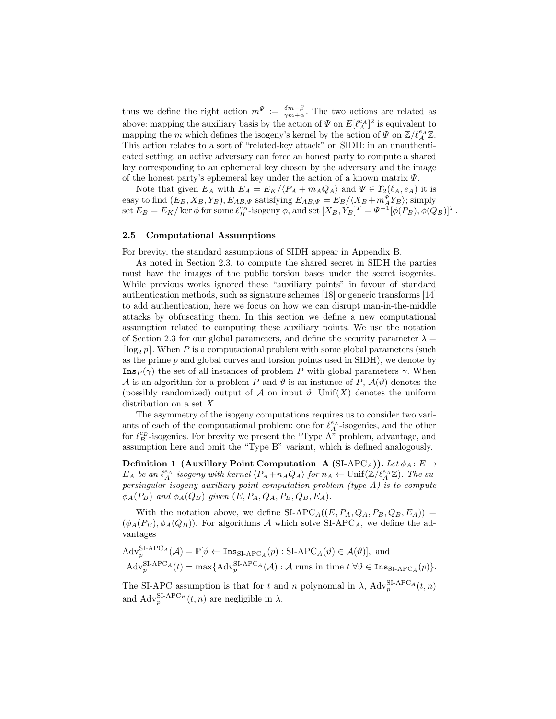thus we define the right action  $m^{\Psi} := \frac{\delta m + \beta}{\gamma m + \alpha}$ . The two actions are related as above: mapping the auxiliary basis by the action of  $\Psi$  on  $E[\ell_A^{e_A}]^2$  is equivalent to mapping the m which defines the isogeny's kernel by the action of  $\Psi$  on  $\mathbb{Z}/\ell_A^{e_A}\mathbb{Z}$ . This action relates to a sort of "related-key attack" on SIDH: in an unauthenticated setting, an active adversary can force an honest party to compute a shared key corresponding to an ephemeral key chosen by the adversary and the image of the honest party's ephemeral key under the action of a known matrix  $\Psi$ .

Note that given  $E_A$  with  $E_A = E_K / \langle P_A + m_A Q_A \rangle$  and  $\Psi \in \Upsilon_2(\ell_A, e_A)$  it is easy to find  $(E_B, X_B, Y_B)$ ,  $E_{AB,\Psi}$  satisfying  $E_{AB,\Psi} = E_B/\langle X_B + m_A^{\Psi} Y_B \rangle$ ; simply set  $E_B = E_K / \ker \phi$  for some  $\ell_B^{e_B}$ -isogeny  $\phi$ , and set  $[X_B, Y_B]^T = \Psi^{-1} [\phi(P_B), \phi(Q_B)]^T$ .

### 2.5 Computational Assumptions

For brevity, the standard assumptions of SIDH appear in Appendix B.

As noted in Section 2.3, to compute the shared secret in SIDH the parties must have the images of the public torsion bases under the secret isogenies. While previous works ignored these "auxiliary points" in favour of standard authentication methods, such as signature schemes [18] or generic transforms [14] to add authentication, here we focus on how we can disrupt man-in-the-middle attacks by obfuscating them. In this section we define a new computational assumption related to computing these auxiliary points. We use the notation of Section 2.3 for our global parameters, and define the security parameter  $\lambda =$  $\lceil \log_2 p \rceil$ . When P is a computational problem with some global parameters (such as the prime  $p$  and global curves and torsion points used in SIDH), we denote by  $\text{Ins}_P(\gamma)$  the set of all instances of problem P with global parameters γ. When A is an algorithm for a problem P and  $\vartheta$  is an instance of P,  $\mathcal{A}(\vartheta)$  denotes the (possibly randomized) output of A on input  $\vartheta$ . Unif(X) denotes the uniform distribution on a set  $X$ .

The asymmetry of the isogeny computations requires us to consider two variants of each of the computational problem: one for  $\ell_A^{e_A}$  -isogenies, and the other for  $\ell_B^{e_B}$ -isogenies. For brevity we present the "Type A" problem, advantage, and assumption here and omit the "Type B" variant, which is defined analogously.

Definition 1 (Auxillary Point Computation–A (SI-APC<sub>A</sub>)). Let  $\phi_A : E \to$  $E_A$  be an  $\ell_A^{e_A}$ -isogeny with kernel  $\langle P_A + n_A Q_A \rangle$  for  $n_A \leftarrow \text{Unif}(\mathbb{Z}/\ell_A^{e_A} \mathbb{Z})$ . The supersingular isogeny auxiliary point computation problem (type A) is to compute  $\phi_A(P_B)$  and  $\phi_A(Q_B)$  given  $(E, P_A, Q_A, P_B, Q_B, E_A)$ .

With the notation above, we define  $SI-APC<sub>A</sub>((E, P_A, Q_A, P_B, Q_B, E_A))$  =  $(\phi_A(P_B), \phi_A(Q_B))$ . For algorithms A which solve SI-APC<sub>A</sub>, we define the advantages

$$
Adv_p^{\mathrm{SI-APC}_{A}}(\mathcal{A}) = \mathbb{P}[\vartheta \leftarrow \text{Ins}_{\mathrm{SI-APC}_{A}}(p) : \mathrm{SI-APC}_{A}(\vartheta) \in \mathcal{A}(\vartheta)], \text{ and}
$$

$$
Adv_p^{\mathrm{SI-APC}_{A}}(t) = \max\{Adv_p^{\mathrm{SI-APC}_{A}}(\mathcal{A}) : \mathcal{A} \text{ runs in time } t \,\forall \vartheta \in \text{Ins}_{\mathrm{SI-APC}_{A}}(p)\}.
$$

The SI-APC assumption is that for t and n polynomial in  $\lambda$ ,  $\text{Adv}_{p}^{\text{SI-APC}_{A}}(t, n)$ and  $\text{Adv}_{p}^{\text{SI-APC}_{B}}(t, n)$  are negligible in  $\lambda$ .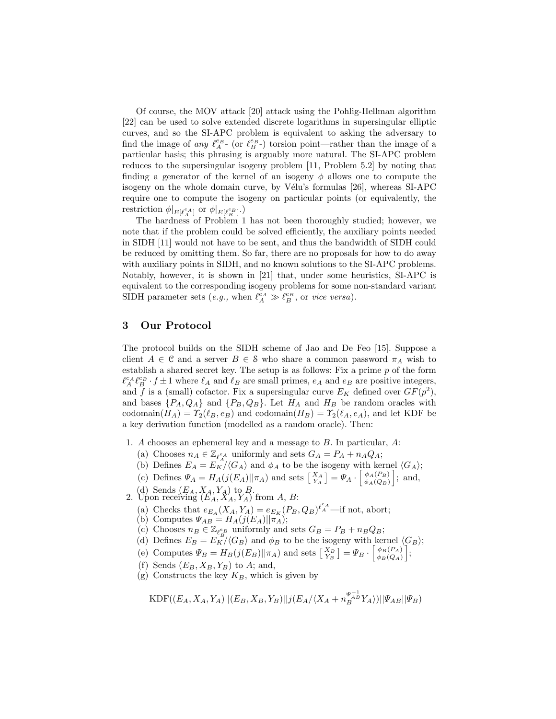Of course, the MOV attack [20] attack using the Pohlig-Hellman algorithm [22] can be used to solve extended discrete logarithms in supersingular elliptic curves, and so the SI-APC problem is equivalent to asking the adversary to find the image of *any*  $\ell_A^{e_B}$ - (or  $\ell_B^{e_B}$ -) torsion point—rather than the image of a particular basis; this phrasing is arguably more natural. The SI-APC problem reduces to the supersingular isogeny problem [11, Problem 5.2] by noting that finding a generator of the kernel of an isogeny  $\phi$  allows one to compute the isogeny on the whole domain curve, by Vélu's formulas [26], whereas SI-APC require one to compute the isogeny on particular points (or equivalently, the restriction  $\phi|_{E[\ell_A^{e_A}]}$  or  $\phi|_{E[\ell_B^{e_B}]}.$ 

The hardness of Problem 1 has not been thoroughly studied; however, we note that if the problem could be solved efficiently, the auxiliary points needed in SIDH [11] would not have to be sent, and thus the bandwidth of SIDH could be reduced by omitting them. So far, there are no proposals for how to do away with auxiliary points in SIDH, and no known solutions to the SI-APC problems. Notably, however, it is shown in [21] that, under some heuristics, SI-APC is equivalent to the corresponding isogeny problems for some non-standard variant SIDH parameter sets (*e.g.*, when  $\ell_A^{\bar{e}_A} \gg \ell_B^{e_B}$ , or vice versa).

## 3 Our Protocol

The protocol builds on the SIDH scheme of Jao and De Feo [15]. Suppose a client  $A \in \mathcal{C}$  and a server  $B \in \mathcal{S}$  who share a common password  $\pi_A$  wish to establish a shared secret key. The setup is as follows: Fix a prime  $p$  of the form  $\ell_A^{e_A} \ell_B^{e_B} \cdot f \pm 1$  where  $\ell_A$  and  $\ell_B$  are small primes,  $e_A$  and  $e_B$  are positive integers, and f is a (small) cofactor. Fix a supersingular curve  $E_K$  defined over  $GF(p^2)$ , and bases  $\{P_A, Q_A\}$  and  $\{P_B, Q_B\}$ . Let  $H_A$  and  $H_B$  be random oracles with codomain $(H_A) = T_2(\ell_B, e_B)$  and codomain $(H_B) = T_2(\ell_A, e_A)$ , and let KDF be a key derivation function (modelled as a random oracle). Then:

- 1. A chooses an ephemeral key and a message to B. In particular, A:
	- (a) Chooses  $n_A \in \mathbb{Z}_{\ell_A^e}$  uniformly and sets  $G_A = P_A + n_A Q_A$ ;
	- (b) Defines  $E_A = E_K / \langle G_A \rangle$  and  $\phi_A$  to be the isogeny with kernel  $\langle G_A \rangle$ ;
	- (c) Defines  $\Psi_A = H_A(j(E_A)||\pi_A)$  and sets  $\begin{bmatrix} X_A \\ Y_A \end{bmatrix} = \Psi_A \cdot \begin{bmatrix} \phi_A(P_B) \\ \phi_A(Q_B) \end{bmatrix}$  $\begin{bmatrix} \phi_A(P_B) \\ \phi_A(Q_B) \end{bmatrix}$ ; and,
	-
- (d) Sends  $(E_A, X_A, Y_A)$  to B.<br>2. Upon receiving  $(E_A, X_A, Y_A)$  from A, B:
	- (a) Checks that  $e_{E_A}(X_A, Y_A) = e_{E_K}(P_B, Q_B)^{\ell_A^e}$ —if not, abort;
	- (b) Computes  $\Psi_{AB} = H_A(j(E_A)||\pi_A);$
	- (c) Chooses  $n_B \in \mathbb{Z}_{\ell_B^{e_B}}$  uniformly and sets  $G_B = P_B + n_B Q_B$ ;
	- (d) Defines  $E_B = E_K^{\epsilon_B}/\langle G_B \rangle$  and  $\phi_B$  to be the isogeny with kernel  $\langle G_B \rangle$ ;
	- (e) Computes  $\Psi_B = H_B(j(E_B)||\pi_A)$  and sets  $\begin{bmatrix} X_B \\ Y_B \end{bmatrix} = \Psi_B \cdot \begin{bmatrix} \phi_B(P_A) \\ \phi_B(Q_A) \end{bmatrix}$  $\left. \begin{array}{c} \phi_B(P_A) \ \phi_B(Q_A) \end{array} \right];$
	- (f) Sends  $(E_B, X_B, Y_B)$  to A; and,
	- (g) Constructs the key  $K_B$ , which is given by

$$
\text{KDF}((E_A, X_A, Y_A)|| (E_B, X_B, Y_B) || j (E_A / \langle X_A + n_B^{\Psi_A^{-1}} Y_A \rangle) || \Psi_{AB} || \Psi_B)
$$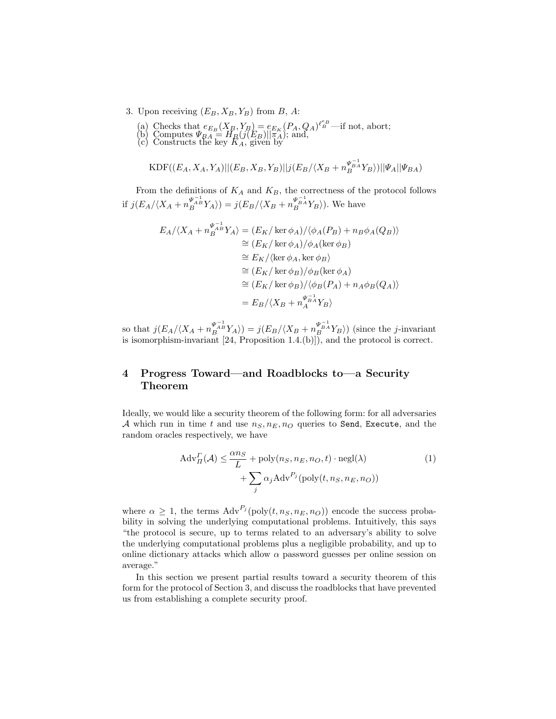- 3. Upon receiving  $(E_B, X_B, Y_B)$  from B, A:
	- (a) Checks that  $e_{E_B}(X_{\overline{B}}, Y_{\overline{B}}) = e_{E_K}(P_A, Q_A)^{\ell_B^e}$  —if not, abort;
	- (b) Computes  $\Psi_{BA} = H_B(j(E_B)||\pi_A)$ ; and,
	- (c) Constructs the key  $\tilde{K}_A$ , given by

$$
\text{KDF}((E_A, X_A, Y_A)|| (E_B, X_B, Y_B) || j (E_B / \langle X_B + n_B^{\Psi_B^{-1}} Y_B \rangle) || \Psi_A || \Psi_{BA})
$$

From the definitions of  $K_A$  and  $K_B$ , the correctness of the protocol follows if  $j(E_A/\langle X_A + n_B^{\Psi_A^{-1}} Y_A \rangle) = j(E_B/\langle X_B + n_B^{\Psi_B^{-1}} Y_B \rangle)$ . We have

$$
E_A/\langle X_A + n_B^{\Psi_{AB}^{-1}} Y_A \rangle = (E_K/\ker \phi_A)/\langle \phi_A(P_B) + n_B \phi_A(Q_B) \rangle
$$
  
\n
$$
\cong (E_K/\ker \phi_A)/\phi_A(\ker \phi_B)
$$
  
\n
$$
\cong E_K/\langle \ker \phi_A, \ker \phi_B \rangle
$$
  
\n
$$
\cong (E_K/\ker \phi_B)/\phi_B(\ker \phi_A)
$$
  
\n
$$
\cong (E_K/\ker \phi_B)/\langle \phi_B(P_A) + n_A \phi_B(Q_A) \rangle
$$
  
\n
$$
= E_B/\langle X_B + n_A^{\Psi_{BA}^{-1}} Y_B \rangle
$$

so that  $j(E_A/\langle X_A + n_B^{\Psi_A^{-1} \to} Y_A \rangle) = j(E_B/\langle X_B + n_B^{\Psi_B^{-1} \to} Y_B \rangle)$  (since the *j*-invariant is isomorphism-invariant [24, Proposition 1.4.(b)]), and the protocol is correct.

## 4 Progress Toward—and Roadblocks to—a Security Theorem

Ideally, we would like a security theorem of the following form: for all adversaries A which run in time t and use  $n_S, n_E, n_Q$  queries to Send, Execute, and the random oracles respectively, we have

$$
\operatorname{Adv}_{\Pi}^{\Gamma}(\mathcal{A}) \le \frac{\alpha n_S}{L} + \operatorname{poly}(n_S, n_E, n_O, t) \cdot \operatorname{negl}(\lambda) + \sum_{j} \alpha_j \operatorname{Adv}^{P_j}(\operatorname{poly}(t, n_S, n_E, n_O))
$$
\n(1)

where  $\alpha \geq 1$ , the terms  $\text{Adv}^{P_j}(\text{poly}(t, n_S, n_E, n_O))$  encode the success probability in solving the underlying computational problems. Intuitively, this says "the protocol is secure, up to terms related to an adversary's ability to solve the underlying computational problems plus a negligible probability, and up to online dictionary attacks which allow  $\alpha$  password guesses per online session on average."

In this section we present partial results toward a security theorem of this form for the protocol of Section 3, and discuss the roadblocks that have prevented us from establishing a complete security proof.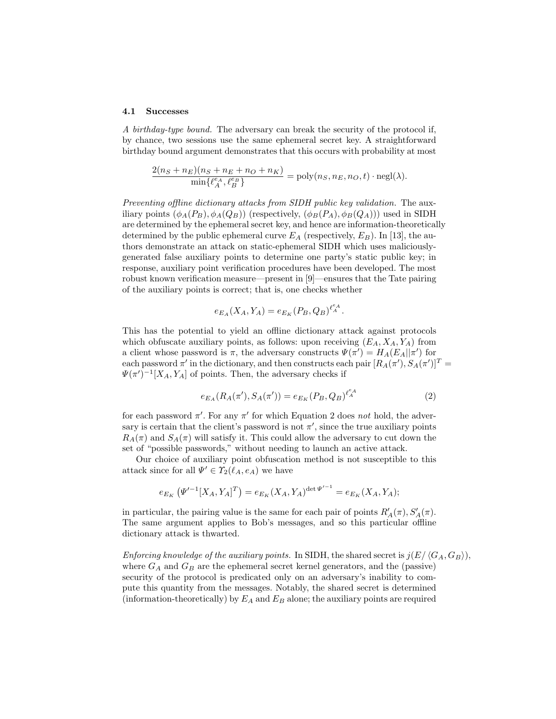#### 4.1 Successes

A birthday-type bound. The adversary can break the security of the protocol if, by chance, two sessions use the same ephemeral secret key. A straightforward birthday bound argument demonstrates that this occurs with probability at most

$$
\frac{2(n_S + n_E)(n_S + n_E + n_O + n_K)}{\min\{\ell_A^e, \ell_B^e\}} = \text{poly}(n_S, n_E, n_O, t) \cdot \text{negl}(\lambda).
$$

Preventing offline dictionary attacks from SIDH public key validation. The auxiliary points  $(\phi_A(P_B), \phi_A(Q_B))$  (respectively,  $(\phi_B(P_A), \phi_B(Q_A)))$ ) used in SIDH are determined by the ephemeral secret key, and hence are information-theoretically determined by the public ephemeral curve  $E_A$  (respectively,  $E_B$ ). In [13], the authors demonstrate an attack on static-ephemeral SIDH which uses maliciouslygenerated false auxiliary points to determine one party's static public key; in response, auxiliary point verification procedures have been developed. The most robust known verification measure—present in [9]—ensures that the Tate pairing of the auxiliary points is correct; that is, one checks whether

$$
e_{E_A}(X_A, Y_A) = e_{E_K}(P_B, Q_B)^{\ell_A^{e_A}}.
$$

This has the potential to yield an offline dictionary attack against protocols which obfuscate auxiliary points, as follows: upon receiving  $(E_A, X_A, Y_A)$  from a client whose password is  $\pi$ , the adversary constructs  $\Psi(\pi') = H_A(E_A||\pi')$  for each password  $\pi'$  in the dictionary, and then constructs each pair  $[R_A(\pi'), S_A(\pi')]^T =$  $\Psi(\pi')^{-1}[X_A, Y_A]$  of points. Then, the adversary checks if

$$
e_{E_A}(R_A(\pi'), S_A(\pi')) = e_{E_K}(P_B, Q_B)^{\ell_A^{\epsilon_A}}
$$
\n(2)

for each password  $\pi'$ . For any  $\pi'$  for which Equation 2 does not hold, the adversary is certain that the client's password is not  $\pi'$ , since the true auxiliary points  $R_A(\pi)$  and  $S_A(\pi)$  will satisfy it. This could allow the adversary to cut down the set of "possible passwords," without needing to launch an active attack.

Our choice of auxiliary point obfuscation method is not susceptible to this attack since for all  $\Psi' \in \Upsilon_2(\ell_A, e_A)$  we have

$$
e_{E_K}(\Psi'^{-1}[X_A, Y_A]^T) = e_{E_K}(X_A, Y_A)^{\det \Psi'^{-1}} = e_{E_K}(X_A, Y_A);
$$

in particular, the pairing value is the same for each pair of points  $R'_A(\pi), S'_A(\pi)$ . The same argument applies to Bob's messages, and so this particular offline dictionary attack is thwarted.

Enforcing knowledge of the auxiliary points. In SIDH, the shared secret is  $j(E/\langle G_A, G_B \rangle)$ , where  $G_A$  and  $G_B$  are the ephemeral secret kernel generators, and the (passive) security of the protocol is predicated only on an adversary's inability to compute this quantity from the messages. Notably, the shared secret is determined (information-theoretically) by  $E_A$  and  $E_B$  alone; the auxiliary points are required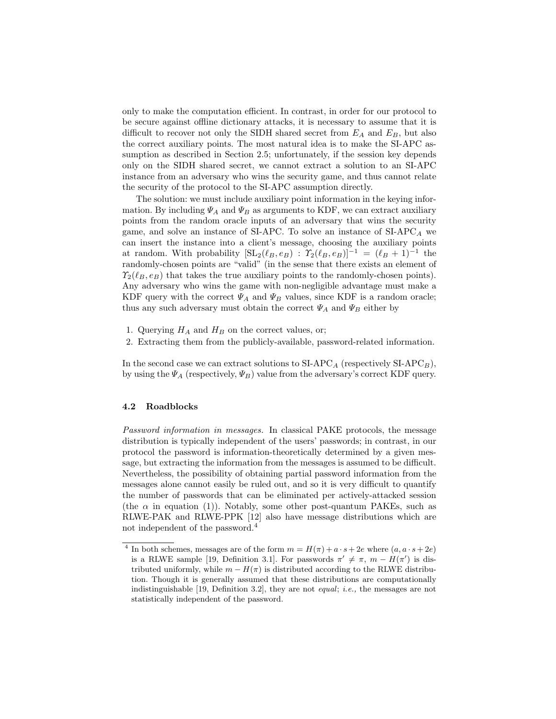only to make the computation efficient. In contrast, in order for our protocol to be secure against offline dictionary attacks, it is necessary to assume that it is difficult to recover not only the SIDH shared secret from  $E_A$  and  $E_B$ , but also the correct auxiliary points. The most natural idea is to make the SI-APC assumption as described in Section 2.5; unfortunately, if the session key depends only on the SIDH shared secret, we cannot extract a solution to an SI-APC instance from an adversary who wins the security game, and thus cannot relate the security of the protocol to the SI-APC assumption directly.

The solution: we must include auxiliary point information in the keying information. By including  $\Psi_A$  and  $\Psi_B$  as arguments to KDF, we can extract auxiliary points from the random oracle inputs of an adversary that wins the security game, and solve an instance of SI-APC. To solve an instance of  $SIAPC<sub>A</sub>$  we can insert the instance into a client's message, choosing the auxiliary points at random. With probability  $[\mathrm{SL}_2(\ell_B, e_B) : \Upsilon_2(\ell_B, e_B)]^{-1} = (\ell_B + 1)^{-1}$  the randomly-chosen points are "valid" (in the sense that there exists an element of  $\mathcal{T}_2(\ell_B, e_B)$  that takes the true auxiliary points to the randomly-chosen points). Any adversary who wins the game with non-negligible advantage must make a KDF query with the correct  $\Psi_A$  and  $\Psi_B$  values, since KDF is a random oracle; thus any such adversary must obtain the correct  $\Psi_A$  and  $\Psi_B$  either by

- 1. Querying  $H_A$  and  $H_B$  on the correct values, or;
- 2. Extracting them from the publicly-available, password-related information.

In the second case we can extract solutions to  $SIAPC<sub>A</sub>$  (respectively  $SIAPC<sub>B</sub>$ ), by using the  $\Psi_A$  (respectively,  $\Psi_B$ ) value from the adversary's correct KDF query.

### 4.2 Roadblocks

Password information in messages. In classical PAKE protocols, the message distribution is typically independent of the users' passwords; in contrast, in our protocol the password is information-theoretically determined by a given message, but extracting the information from the messages is assumed to be difficult. Nevertheless, the possibility of obtaining partial password information from the messages alone cannot easily be ruled out, and so it is very difficult to quantify the number of passwords that can be eliminated per actively-attacked session (the  $\alpha$  in equation (1)). Notably, some other post-quantum PAKEs, such as RLWE-PAK and RLWE-PPK [12] also have message distributions which are not independent of the password.<sup>4</sup>

<sup>&</sup>lt;sup>4</sup> In both schemes, messages are of the form  $m = H(\pi) + a \cdot s + 2e$  where  $(a, a \cdot s + 2e)$ is a RLWE sample [19, Definition 3.1]. For passwords  $\pi' \neq \pi$ ,  $m - H(\pi')$  is distributed uniformly, while  $m - H(\pi)$  is distributed according to the RLWE distribution. Though it is generally assumed that these distributions are computationally indistinguishable [19, Definition 3.2], they are not equal; i.e., the messages are not statistically independent of the password.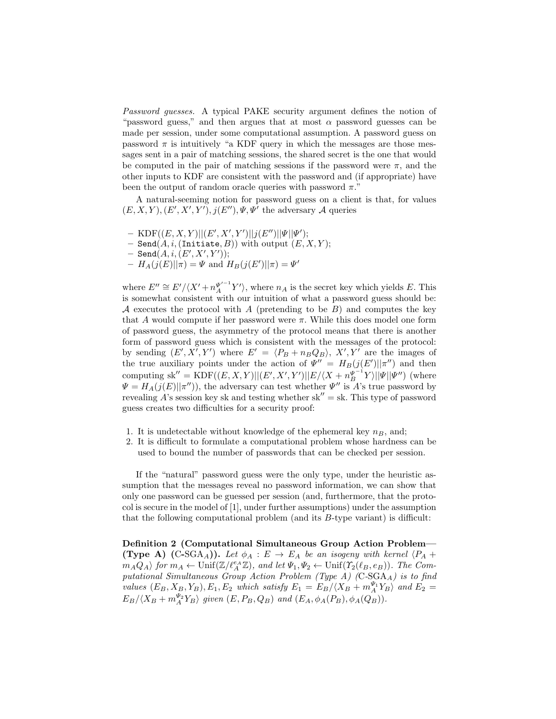Password guesses. A typical PAKE security argument defines the notion of "password guess," and then argues that at most  $\alpha$  password guesses can be made per session, under some computational assumption. A password guess on password  $\pi$  is intuitively "a KDF query in which the messages are those messages sent in a pair of matching sessions, the shared secret is the one that would be computed in the pair of matching sessions if the password were  $\pi$ , and the other inputs to KDF are consistent with the password and (if appropriate) have been the output of random oracle queries with password  $\pi$ ."

A natural-seeming notion for password guess on a client is that, for values  $(E, X, Y), (E', X', Y'), j(E''), \Psi, \Psi'$  the adversary A queries

- $-$  KDF $((E, X, Y) || (E', X', Y') || j(E'') || \Psi || \Psi');$
- $-$  Send $(A, i, (Initiate, B))$  with output  $(E, X, Y);$
- $-$  Send $(A,i, (E', X', Y'));$
- $-I = H_A(j(E)||\pi) = \Psi$  and  $H_B(j(E')||\pi) = \Psi'$

where  $E'' \cong E'/\langle X' + n_A^{\Psi'^{-1}} Y' \rangle$ , where  $n_A$  is the secret key which yields E. This is somewhat consistent with our intuition of what a password guess should be: A executes the protocol with A (pretending to be  $B$ ) and computes the key that A would compute if her password were  $\pi$ . While this does model one form of password guess, the asymmetry of the protocol means that there is another form of password guess which is consistent with the messages of the protocol: by sending  $(E', X', Y')$  where  $E' = \langle P_B + n_B Q_B \rangle$ ,  $X', Y'$  are the images of the true auxiliary points under the action of  $\Psi'' = H_B(j(E')||\pi'')$  and then computing sk'' = KDF( $(E, X, Y) || (E', X', Y') || E / \langle X + n_B^{\Psi^{-1}} Y \rangle || \Psi || \Psi'' )$  (where  $\Psi = H_A(j(E)||\pi'')$ , the adversary can test whether  $\Psi''$  is A's true password by revealing A's session key sk and testing whether  $sk'' = sk$ . This type of password guess creates two difficulties for a security proof:

- 1. It is undetectable without knowledge of the ephemeral key  $n_B$ , and;
- 2. It is difficult to formulate a computational problem whose hardness can be used to bound the number of passwords that can be checked per session.

If the "natural" password guess were the only type, under the heuristic assumption that the messages reveal no password information, we can show that only one password can be guessed per session (and, furthermore, that the protocol is secure in the model of [1], under further assumptions) under the assumption that the following computational problem (and its  $B$ -type variant) is difficult:

Definition 2 (Computational Simultaneous Group Action Problem— (Type A) (C-SGA<sub>A</sub>)). Let  $\phi_A : E \to E_A$  be an isogeny with kernel  $\langle P_A +$  $m_A Q_A$  for  $m_A \leftarrow \text{Unif}(\mathbb{Z}/\ell_A^{\epsilon_A} \mathbb{Z})$ , and let  $\Psi_1, \Psi_2 \leftarrow \text{Unif}(\Upsilon_2(\ell_B, e_B))$ . The Computational Simultaneous Group Action Problem (Type A) (C-SGA $_A$ ) is to find values  $(E_B, X_B, Y_B), E_1, E_2$  which satisfy  $E_1 = E_B / \langle X_B + m_A^{\Psi_1} Y_B \rangle$  and  $E_2 =$  $E_B/\langle X_B + m_A^{\Psi_2} Y_B \rangle$  given  $(E, P_B, Q_B)$  and  $(E_A, \phi_A(P_B), \phi_A(Q_B)).$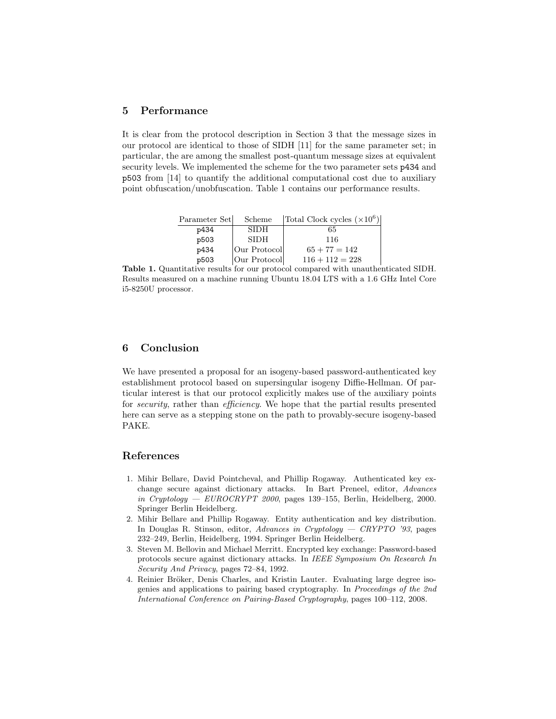## 5 Performance

It is clear from the protocol description in Section 3 that the message sizes in our protocol are identical to those of SIDH [11] for the same parameter set; in particular, the are among the smallest post-quantum message sizes at equivalent security levels. We implemented the scheme for the two parameter sets p434 and p503 from [14] to quantify the additional computational cost due to auxiliary point obfuscation/unobfuscation. Table 1 contains our performance results.

| Parameter Set | Scheme       | Total Clock cycles $(\times 10^6)$ |
|---------------|--------------|------------------------------------|
| p434          | <b>SIDH</b>  | 65                                 |
| p503          | <b>SIDH</b>  | 116                                |
| p434          | Our Protocol | $65 + 77 = 142$                    |
| p503          | Our Protocol | $116 + 112 = 228$                  |

Table 1. Quantitative results for our protocol compared with unauthenticated SIDH. Results measured on a machine running Ubuntu 18.04 LTS with a 1.6 GHz Intel Core i5-8250U processor.

## 6 Conclusion

We have presented a proposal for an isogeny-based password-authenticated key establishment protocol based on supersingular isogeny Diffie-Hellman. Of particular interest is that our protocol explicitly makes use of the auxiliary points for *security*, rather than *efficiency*. We hope that the partial results presented here can serve as a stepping stone on the path to provably-secure isogeny-based PAKE.

### References

- 1. Mihir Bellare, David Pointcheval, and Phillip Rogaway. Authenticated key exchange secure against dictionary attacks. In Bart Preneel, editor, Advances in Cryptology — EUROCRYPT 2000, pages 139–155, Berlin, Heidelberg, 2000. Springer Berlin Heidelberg.
- 2. Mihir Bellare and Phillip Rogaway. Entity authentication and key distribution. In Douglas R. Stinson, editor, Advances in Cryptology — CRYPTO '93, pages 232–249, Berlin, Heidelberg, 1994. Springer Berlin Heidelberg.
- 3. Steven M. Bellovin and Michael Merritt. Encrypted key exchange: Password-based protocols secure against dictionary attacks. In IEEE Symposium On Research In Security And Privacy, pages 72–84, 1992.
- 4. Reinier Bröker, Denis Charles, and Kristin Lauter. Evaluating large degree isogenies and applications to pairing based cryptography. In Proceedings of the 2nd International Conference on Pairing-Based Cryptography, pages 100–112, 2008.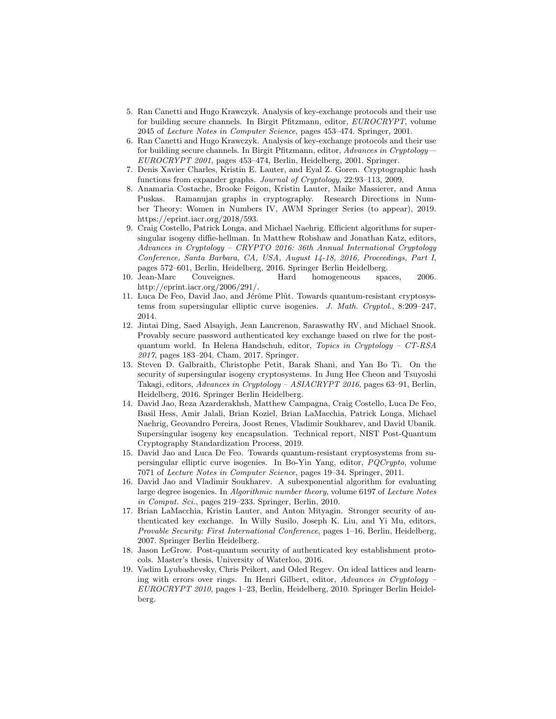- 5. Ran Canetti and Hugo Krawczyk. Analysis of key-exchange protocols and their use for building secure channels. In Birgit Pfitzmann, editor, EUROCRYPT, volume 2045 of Lecture Notes in Computer Science, pages 453–474. Springer, 2001.
- 6. Ran Canetti and Hugo Krawczyk. Analysis of key-exchange protocols and their use for building secure channels. In Birgit Pfitzmann, editor, Advances in Cryptology— EUROCRYPT 2001, pages 453–474, Berlin, Heidelberg, 2001. Springer.
- 7. Denis Xavier Charles, Kristin E. Lauter, and Eyal Z. Goren. Cryptographic hash functions from expander graphs. Journal of Cryptology, 22:93–113, 2009.
- 8. Anamaria Costache, Brooke Feigon, Kristin Lauter, Maike Massierer, and Anna Puskas. Ramanujan graphs in cryptography. Research Directions in Number Theory: Women in Numbers IV, AWM Springer Series (to appear), 2019. https://eprint.iacr.org/2018/593.
- 9. Craig Costello, Patrick Longa, and Michael Naehrig. Efficient algorithms for supersingular isogeny diffie-hellman. In Matthew Robshaw and Jonathan Katz, editors, Advances in Cryptology – CRYPTO 2016: 36th Annual International Cryptology Conference, Santa Barbara, CA, USA, August 14-18, 2016, Proceedings, Part I, pages 572–601, Berlin, Heidelberg, 2016. Springer Berlin Heidelberg.
- 10. Jean-Marc Couveignes. Hard homogeneous spaces, 2006. http://eprint.iacr.org/2006/291/.
- 11. Luca De Feo, David Jao, and Jérôme Plût. Towards quantum-resistant cryptosystems from supersingular elliptic curve isogenies. J. Math. Cryptol., 8:209–247, 2014.
- 12. Jintai Ding, Saed Alsayigh, Jean Lancrenon, Saraswathy RV, and Michael Snook. Provably secure password authenticated key exchange based on rlwe for the postquantum world. In Helena Handschuh, editor, Topics in Cryptology – CT-RSA 2017, pages 183–204, Cham, 2017. Springer.
- 13. Steven D. Galbraith, Christophe Petit, Barak Shani, and Yan Bo Ti. On the security of supersingular isogeny cryptosystems. In Jung Hee Cheon and Tsuyoshi Takagi, editors, Advances in Cryptology – ASIACRYPT 2016, pages 63–91, Berlin, Heidelberg, 2016. Springer Berlin Heidelberg.
- 14. David Jao, Reza Azarderakhsh, Matthew Campagna, Craig Costello, Luca De Feo, Basil Hess, Amir Jalali, Brian Koziel, Brian LaMacchia, Patrick Longa, Michael Naehrig, Geovandro Pereira, Joost Renes, Vladimir Soukharev, and David Ubanik. Supersingular isogeny key encapsulation. Technical report, NIST Post-Quantum Cryptography Standardization Process, 2019.
- 15. David Jao and Luca De Feo. Towards quantum-resistant cryptosystems from supersingular elliptic curve isogenies. In Bo-Yin Yang, editor, PQCrypto, volume 7071 of Lecture Notes in Computer Science, pages 19–34. Springer, 2011.
- 16. David Jao and Vladimir Soukharev. A subexponential algorithm for evaluating large degree isogenies. In Algorithmic number theory, volume 6197 of Lecture Notes in Comput. Sci., pages 219–233. Springer, Berlin, 2010.
- 17. Brian LaMacchia, Kristin Lauter, and Anton Mityagin. Stronger security of authenticated key exchange. In Willy Susilo, Joseph K. Liu, and Yi Mu, editors, Provable Security: First International Conference, pages 1–16, Berlin, Heidelberg, 2007. Springer Berlin Heidelberg.
- 18. Jason LeGrow. Post-quantum security of authenticated key establishment protocols. Master's thesis, University of Waterloo, 2016.
- 19. Vadim Lyubashevsky, Chris Peikert, and Oded Regev. On ideal lattices and learning with errors over rings. In Henri Gilbert, editor, Advances in Cryptology – EUROCRYPT 2010, pages 1–23, Berlin, Heidelberg, 2010. Springer Berlin Heidelberg.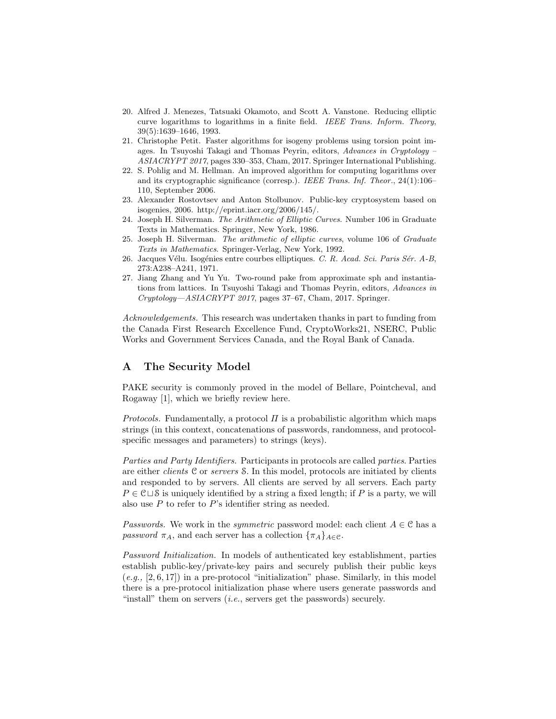- 20. Alfred J. Menezes, Tatsuaki Okamoto, and Scott A. Vanstone. Reducing elliptic curve logarithms to logarithms in a finite field. IEEE Trans. Inform. Theory, 39(5):1639–1646, 1993.
- 21. Christophe Petit. Faster algorithms for isogeny problems using torsion point images. In Tsuyoshi Takagi and Thomas Peyrin, editors, Advances in Cryptology – ASIACRYPT 2017, pages 330–353, Cham, 2017. Springer International Publishing.
- 22. S. Pohlig and M. Hellman. An improved algorithm for computing logarithms over and its cryptographic significance (corresp.). IEEE Trans. Inf. Theor., 24(1):106– 110, September 2006.
- 23. Alexander Rostovtsev and Anton Stolbunov. Public-key cryptosystem based on isogenies, 2006. http://eprint.iacr.org/2006/145/.
- 24. Joseph H. Silverman. The Arithmetic of Elliptic Curves. Number 106 in Graduate Texts in Mathematics. Springer, New York, 1986.
- 25. Joseph H. Silverman. The arithmetic of elliptic curves, volume 106 of Graduate Texts in Mathematics. Springer-Verlag, New York, 1992.
- 26. Jacques Vélu. Isogénies entre courbes elliptiques. C. R. Acad. Sci. Paris Sér. A-B, 273:A238–A241, 1971.
- 27. Jiang Zhang and Yu Yu. Two-round pake from approximate sph and instantiations from lattices. In Tsuyoshi Takagi and Thomas Peyrin, editors, Advances in Cryptology—ASIACRYPT 2017, pages 37–67, Cham, 2017. Springer.

Acknowledgements. This research was undertaken thanks in part to funding from the Canada First Research Excellence Fund, CryptoWorks21, NSERC, Public Works and Government Services Canada, and the Royal Bank of Canada.

## A The Security Model

PAKE security is commonly proved in the model of Bellare, Pointcheval, and Rogaway [1], which we briefly review here.

Protocols. Fundamentally, a protocol  $\Pi$  is a probabilistic algorithm which maps strings (in this context, concatenations of passwords, randomness, and protocolspecific messages and parameters) to strings (keys).

Parties and Party Identifiers. Participants in protocols are called parties. Parties are either clients C or servers S. In this model, protocols are initiated by clients and responded to by servers. All clients are served by all servers. Each party  $P \in \mathcal{C} \sqcup \mathcal{S}$  is uniquely identified by a string a fixed length; if P is a party, we will also use  $P$  to refer to  $P$ 's identifier string as needed.

*Passwords.* We work in the *symmetric* password model: each client  $A \in \mathcal{C}$  has a password  $\pi_A$ , and each server has a collection  $\{\pi_A\}_{A \in \mathcal{C}}$ .

Password Initialization. In models of authenticated key establishment, parties establish public-key/private-key pairs and securely publish their public keys  $(e,q, [2, 6, 17])$  in a pre-protocol "initialization" phase. Similarly, in this model there is a pre-protocol initialization phase where users generate passwords and "install" them on servers  $(i.e.,$  servers get the passwords) securely.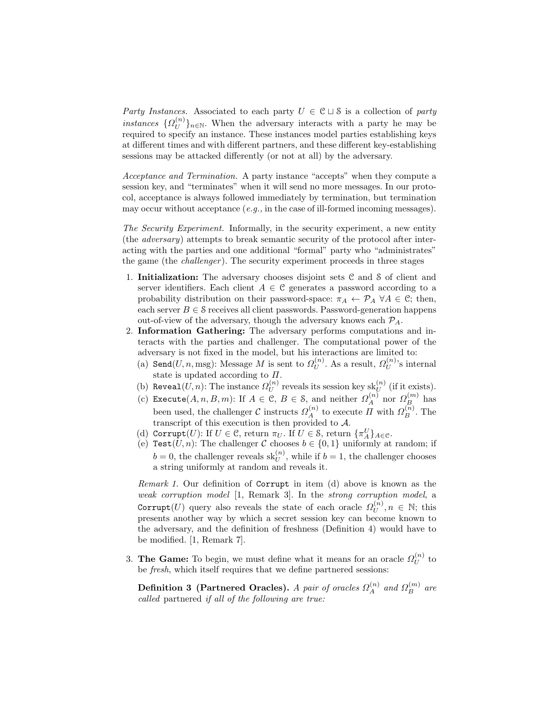Party Instances. Associated to each party  $U \in \mathcal{C} \cup \mathcal{S}$  is a collection of party instances  $\{\Omega_{II}^{(n)}\}$  $\{U^{(n)}\}_{n\in\mathbb{N}}$ . When the adversary interacts with a party he may be required to specify an instance. These instances model parties establishing keys at different times and with different partners, and these different key-establishing sessions may be attacked differently (or not at all) by the adversary.

Acceptance and Termination. A party instance "accepts" when they compute a session key, and "terminates" when it will send no more messages. In our protocol, acceptance is always followed immediately by termination, but termination may occur without acceptance  $(e.g.,$  in the case of ill-formed incoming messages).

The Security Experiment. Informally, in the security experiment, a new entity (the adversary) attempts to break semantic security of the protocol after interacting with the parties and one additional "formal" party who "administrates" the game (the *challenger*). The security experiment proceeds in three stages

- 1. **Initialization:** The adversary chooses disjoint sets  $C$  and  $S$  of client and server identifiers. Each client  $A \in \mathcal{C}$  generates a password according to a probability distribution on their password-space:  $\pi_A \leftarrow \mathcal{P}_A \ \forall A \in \mathcal{C}$ ; then, each server  $B \in \mathcal{S}$  receives all client passwords. Password-generation happens out-of-view of the adversary, though the adversary knows each  $\mathcal{P}_A$ .
- 2. Information Gathering: The adversary performs computations and interacts with the parties and challenger. The computational power of the adversary is not fixed in the model, but his interactions are limited to:
	- (a) Send $(U, n, \text{msg})$ : Message M is sent to  $\Omega_U^{(n)}$  $U^{(n)}$ . As a result,  $\Omega_U^{(n)}$  $\mathcal{U}^{(n)}$ 's internal state is updated according to  $\Pi$ .
	- (b) Reveal $(U, n)$ : The instance  $\Omega_U^{(n)}$  $U^{(n)}_U$  reveals its session key  $\operatorname{sk}_{U}^{(n)}$  (if it exists).
	- (c) Execute $(A, n, B, m)$ : If  $A \in \mathcal{C}, B \in \mathcal{S}$ , and neither  $\Omega_A^{(n)}$  nor  $\Omega_B^{(m)}$  has been used, the challenger  $\mathcal{C}$  instructs  $\Omega_A^{(n)}$  to execute  $\Pi$  with  $\Omega_B^{(n)}$ . The transcript of this execution is then provided to A.
	- (d) Corrupt(U): If  $U \in \mathcal{C}$ , return  $\pi_U$ . If  $U \in \mathcal{S}$ , return  $\{\pi_A^U\}_{A \in \mathcal{C}}$ .
	- (e) Test $(U, n)$ : The challenger C chooses  $b \in \{0, 1\}$  uniformly at random; if  $b = 0$ , the challenger reveals  $\text{sk}_{U}^{(n)}$ , while if  $b = 1$ , the challenger chooses a string uniformly at random and reveals it.

Remark 1. Our definition of Corrupt in item (d) above is known as the weak corruption model [1, Remark 3]. In the strong corruption model, a Corrupt $(U)$  query also reveals the state of each oracle  $\varOmega_U^{(n)}$  $U^{(n)}$ ,  $n \in \mathbb{N}$ ; this presents another way by which a secret session key can become known to the adversary, and the definition of freshness (Definition 4) would have to be modified. [1, Remark 7].

3. The Game: To begin, we must define what it means for an oracle  $\Omega_U^{(n)}$  $\bigcup^{(n)}_U$  to be fresh, which itself requires that we define partnered sessions:

Definition 3 (Partnered Oracles). A pair of oracles  $\Omega^{(n)}_A$  and  $\Omega^{(m)}_B$  are called partnered if all of the following are true: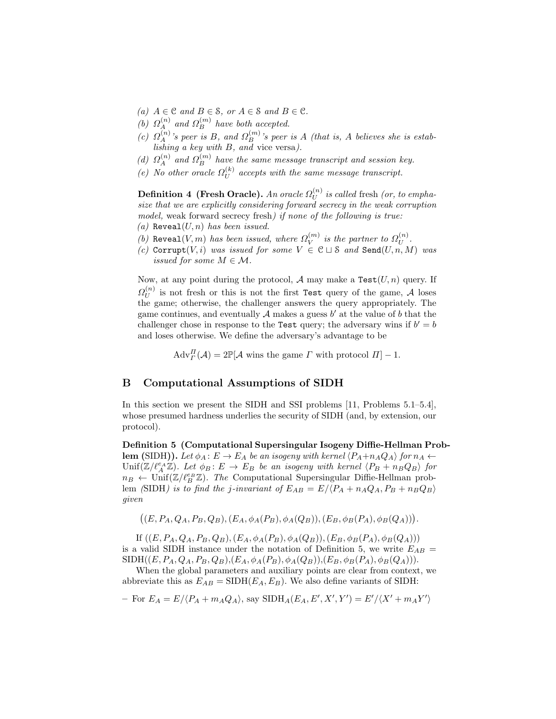- (a)  $A \in \mathcal{C}$  and  $B \in \mathcal{S}$ , or  $A \in \mathcal{S}$  and  $B \in \mathcal{C}$ .
- (b)  $\Omega_A^{(n)}$  and  $\Omega_B^{(m)}$  have both accepted.
- (c)  $\Omega_A^{(n)}$ 's peer is B, and  $\Omega_B^{(m)}$ 's peer is A (that is, A believes she is establishing a key with B, and vice versa).
- (d)  $\Omega_A^{(n)}$  and  $\Omega_B^{(m)}$  have the same message transcript and session key.
- (e) No other oracle  $\Omega_U^{(k)}$  $U^{(k)}$  accepts with the same message transcript.

Definition 4 (Fresh Oracle). An oracle  $\Omega^{(n)}_U$  $\bigcup_{U}^{(n)}$  is called fresh (or, to emphasize that we are explicitly considering forward secrecy in the weak corruption model, weak forward secrecy fresh) if none of the following is true:

- (a) Reveal $(U, n)$  has been issued.
- (b) Reveal(V, m) has been issued, where  $\Omega_V^{(m)}$  $\stackrel{(m)}{V}$  is the partner to  $\Omega^{(n)}_U$  $U^{(n)}$  .
- (c) Corrupt(V, i) was issued for some  $V \in \mathcal{C} \sqcup \mathcal{S}$  and  $\texttt{Send}(U, n, M)$  was issued for some  $M \in \mathcal{M}$ .

Now, at any point during the protocol, A may make a  $Test(U, n)$  query. If  $\varOmega_{U}^{(n)}$  $\mathcal{U}^{(n)}$  is not fresh or this is not the first Test query of the game, A loses the game; otherwise, the challenger answers the query appropriately. The game continues, and eventually  $A$  makes a guess  $b'$  at the value of  $b$  that the challenger chose in response to the Test query; the adversary wins if  $b' = b$ and loses otherwise. We define the adversary's advantage to be

 $\mathrm{Adv}_{\Gamma}^{\Pi}(\mathcal{A})=2\mathbb{P}[\mathcal{A}$  wins the game  $\Gamma$  with protocol  $\Pi]-1$ .

## B Computational Assumptions of SIDH

In this section we present the SIDH and SSI problems [11, Problems 5.1–5.4], whose presumed hardness underlies the security of SIDH (and, by extension, our protocol).

Definition 5 (Computational Supersingular Isogeny Diffie-Hellman Prob**lem** (SIDH)). Let  $\phi_A : E \to E_A$  be an isogeny with kernel  $\langle P_A+n_AQ_A \rangle$  for  $n_A \leftarrow$  $\text{Unif}(\mathbb{Z}/\ell_A^{e_A}\mathbb{Z})$ . Let  $\phi_B: E \to E_B$  be an isogeny with kernel  $\langle P_B + n_B Q_B \rangle$  for  $n_B \leftarrow \text{Unif}(\mathbb{Z}/\ell_B^{e_B} \mathbb{Z})$ . The Computational Supersingular Diffie-Hellman problem (SIDH) is to find the j-invariant of  $E_{AB} = E/(P_A + n_A Q_A, P_B + n_B Q_B)$ given

$$
((E, P_A, Q_A, P_B, Q_B), (E_A, \phi_A(P_B), \phi_A(Q_B)), (E_B, \phi_B(P_A), \phi_B(Q_A))).
$$

If  $((E, P_A, Q_A, P_B, Q_B), (E_A, \phi_A(P_B), \phi_A(Q_B)), (E_B, \phi_B(P_A), \phi_B(Q_A)))$ is a valid SIDH instance under the notation of Definition 5, we write  $E_{AB}$  =  $SIDH((E, P_A, Q_A, P_B, Q_B), (E_A, \phi_A(P_B), \phi_A(Q_B)), (E_B, \phi_B(P_A), \phi_B(Q_A))).$ 

When the global parameters and auxiliary points are clear from context, we abbreviate this as  $E_{AB} = \text{SIDH}(E_A, E_B)$ . We also define variants of SIDH:

- For 
$$
E_A = E / \langle P_A + m_A Q_A \rangle
$$
, say  $\text{SIDH}_A(E_A, E', X', Y') = E' / \langle X' + m_A Y' \rangle$